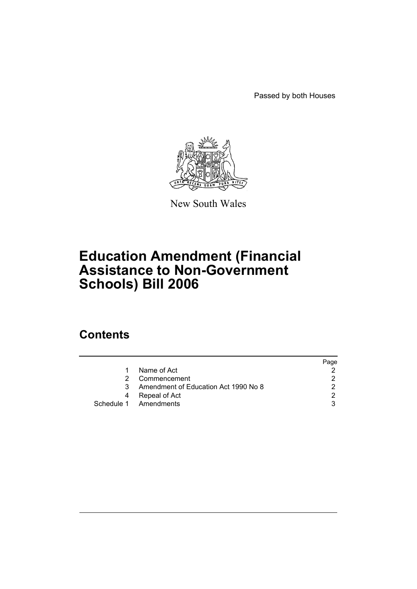Passed by both Houses



New South Wales

# **Education Amendment (Financial Assistance to Non-Government Schools) Bill 2006**

# **Contents**

|    |                                      | Page |
|----|--------------------------------------|------|
| 1  | Name of Act                          |      |
| 2  | Commencement                         |      |
| 3. | Amendment of Education Act 1990 No 8 |      |
| 4  | Repeal of Act                        | ◠    |
|    | Schedule 1 Amendments                |      |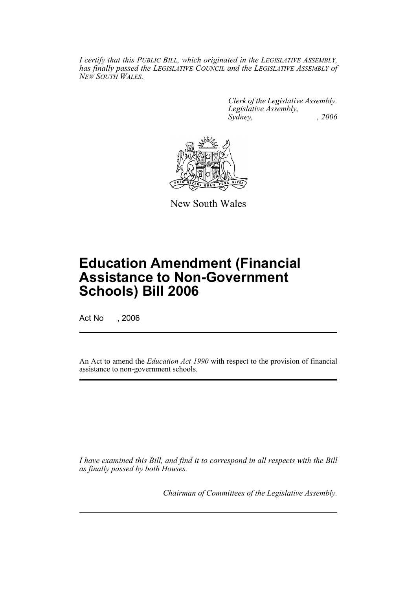*I certify that this PUBLIC BILL, which originated in the LEGISLATIVE ASSEMBLY, has finally passed the LEGISLATIVE COUNCIL and the LEGISLATIVE ASSEMBLY of NEW SOUTH WALES.*

> *Clerk of the Legislative Assembly. Legislative Assembly, Sydney, , 2006*



New South Wales

# **Education Amendment (Financial Assistance to Non-Government Schools) Bill 2006**

Act No , 2006

An Act to amend the *Education Act 1990* with respect to the provision of financial assistance to non-government schools.

*I have examined this Bill, and find it to correspond in all respects with the Bill as finally passed by both Houses.*

*Chairman of Committees of the Legislative Assembly.*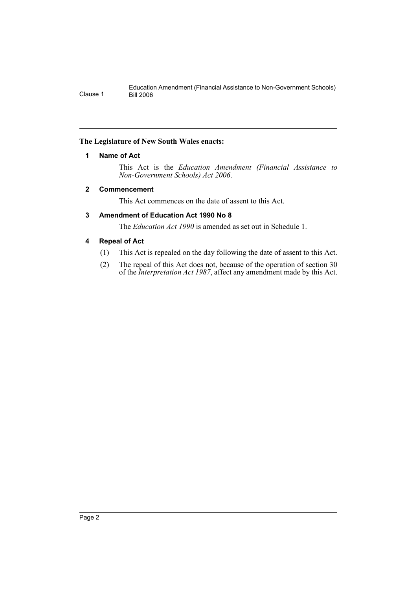### **The Legislature of New South Wales enacts:**

### **1 Name of Act**

This Act is the *Education Amendment (Financial Assistance to Non-Government Schools) Act 2006*.

#### **2 Commencement**

This Act commences on the date of assent to this Act.

## **3 Amendment of Education Act 1990 No 8**

The *Education Act 1990* is amended as set out in Schedule 1.

## **4 Repeal of Act**

- (1) This Act is repealed on the day following the date of assent to this Act.
- (2) The repeal of this Act does not, because of the operation of section 30 of the *Interpretation Act 1987*, affect any amendment made by this Act.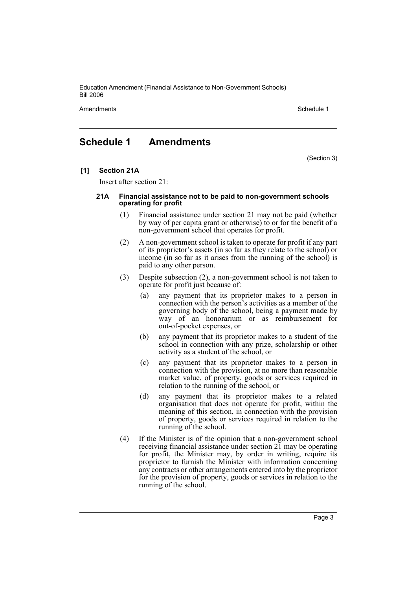Education Amendment (Financial Assistance to Non-Government Schools) Bill 2006

Amendments **Schedule 1** Schedule 1

# **Schedule 1 Amendments**

(Section 3)

**[1] Section 21A**

Insert after section 21:

#### **21A Financial assistance not to be paid to non-government schools operating for profit**

- (1) Financial assistance under section 21 may not be paid (whether by way of per capita grant or otherwise) to or for the benefit of a non-government school that operates for profit.
- (2) A non-government school is taken to operate for profit if any part of its proprietor's assets (in so far as they relate to the school) or income (in so far as it arises from the running of the school) is paid to any other person.
- (3) Despite subsection (2), a non-government school is not taken to operate for profit just because of:
	- (a) any payment that its proprietor makes to a person in connection with the person's activities as a member of the governing body of the school, being a payment made by way of an honorarium or as reimbursement for out-of-pocket expenses, or
	- (b) any payment that its proprietor makes to a student of the school in connection with any prize, scholarship or other activity as a student of the school, or
	- (c) any payment that its proprietor makes to a person in connection with the provision, at no more than reasonable market value, of property, goods or services required in relation to the running of the school, or
	- (d) any payment that its proprietor makes to a related organisation that does not operate for profit, within the meaning of this section, in connection with the provision of property, goods or services required in relation to the running of the school.
- (4) If the Minister is of the opinion that a non-government school receiving financial assistance under section 21 may be operating for profit, the Minister may, by order in writing, require its proprietor to furnish the Minister with information concerning any contracts or other arrangements entered into by the proprietor for the provision of property, goods or services in relation to the running of the school.